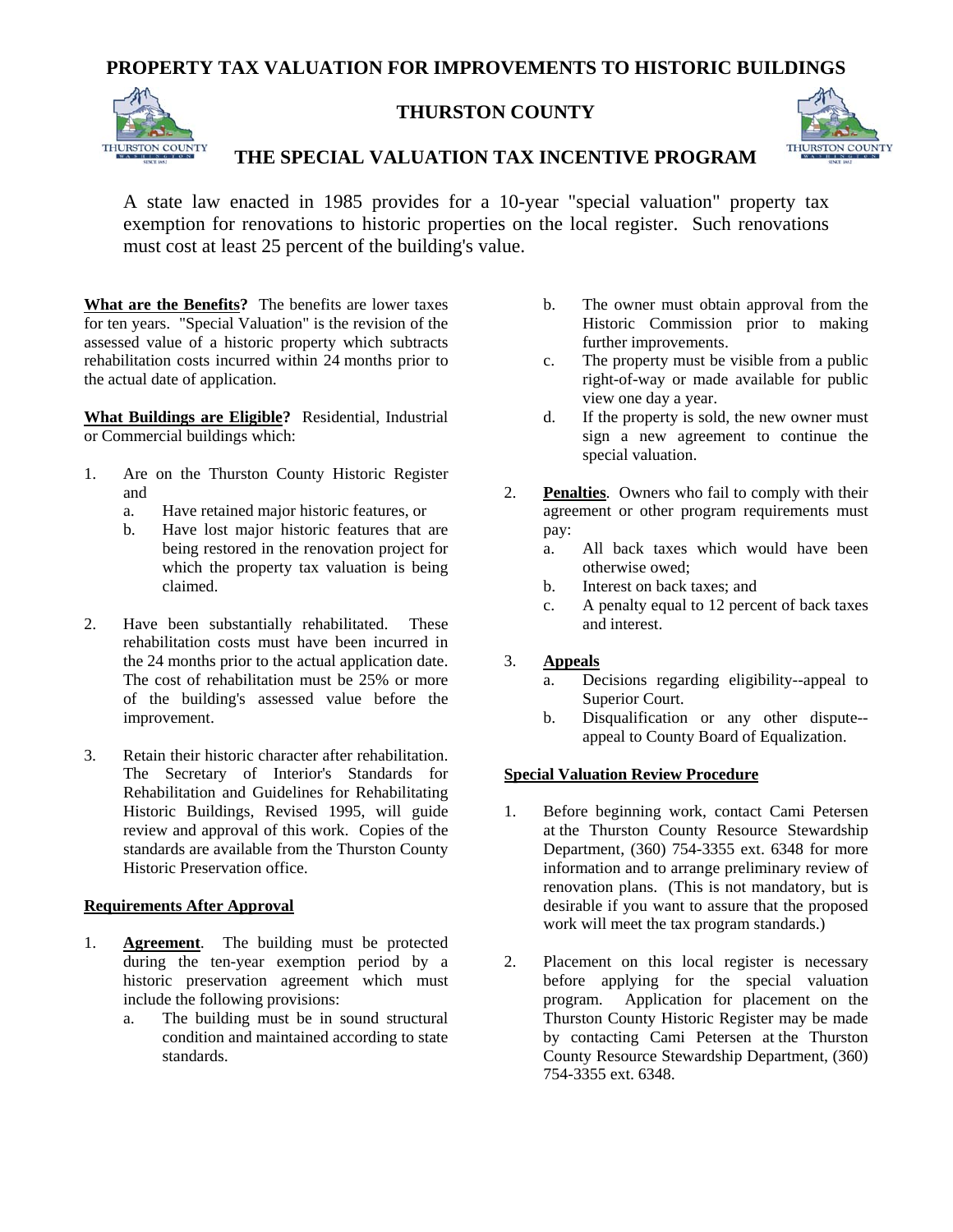# **PROPERTY TAX VALUATION FOR IMPROVEMENTS TO HISTORIC BUILDINGS**



## **THURSTON COUNTY**



## **THE SPECIAL VALUATION TAX INCENTIVE PROGRAM**

A state law enacted in 1985 provides for a 10-year "special valuation" property tax exemption for renovations to historic properties on the local register. Such renovations must cost at least 25 percent of the building's value.

**What are the Benefits?** The benefits are lower taxes for ten years. "Special Valuation" is the revision of the assessed value of a historic property which subtracts rehabilitation costs incurred within 24 months prior to the actual date of application.

**What Buildings are Eligible?** Residential, Industrial or Commercial buildings which:

- 1. Are on the Thurston County Historic Register and
	- a. Have retained major historic features, or
	- b. Have lost major historic features that are being restored in the renovation project for which the property tax valuation is being claimed.
- 2. Have been substantially rehabilitated. These rehabilitation costs must have been incurred in the 24 months prior to the actual application date. The cost of rehabilitation must be 25% or more of the building's assessed value before the improvement.
- 3. Retain their historic character after rehabilitation. The Secretary of Interior's Standards for Rehabilitation and Guidelines for Rehabilitating Historic Buildings, Revised 1995, will guide review and approval of this work. Copies of the standards are available from the Thurston County Historic Preservation office.

#### **Requirements After Approval**

- 1. **Agreement**. The building must be protected during the ten-year exemption period by a historic preservation agreement which must include the following provisions:
	- a. The building must be in sound structural condition and maintained according to state standards.
- b. The owner must obtain approval from the Historic Commission prior to making further improvements.
- c. The property must be visible from a public right-of-way or made available for public view one day a year.
- d. If the property is sold, the new owner must sign a new agreement to continue the special valuation.
- 2. **Penalties**. Owners who fail to comply with their agreement or other program requirements must pay:
	- a. All back taxes which would have been otherwise owed;
	- b. Interest on back taxes; and
	- c. A penalty equal to 12 percent of back taxes and interest.

### 3. **Appeals**

- a. Decisions regarding eligibility--appeal to Superior Court.
- b. Disqualification or any other dispute- appeal to County Board of Equalization.

### **Special Valuation Review Procedure**

- 1. Before beginning work, contact Cami Petersen at the Thurston County Resource Stewardship Department, (360) 754-3355 ext. 6348 for more information and to arrange preliminary review of renovation plans. (This is not mandatory, but is desirable if you want to assure that the proposed work will meet the tax program standards.)
- 2. Placement on this local register is necessary before applying for the special valuation program. Application for placement on the Thurston County Historic Register may be made by contacting Cami Petersen at the Thurston County Resource Stewardship Department, (360) 754-3355 ext. 6348.